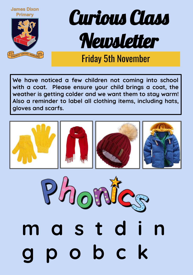

## Curious Class Newsletter

## Friday 5th November

**We have noticed a few children not coming into school with a coat. Please ensure your child brings a coat, the weather is getting colder and we want them to stay warm! Also a reminder to label all clothing items, including hats, gloves and scarfs.**



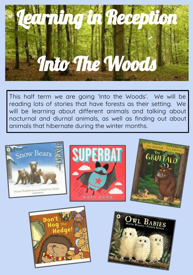

This half term we are going 'Into the Woods'. We will be reading lots of stories that have forests as their setting. We will be learning about different animals and talking about nocturnal and diurnal animals, as well as finding out about animals that hibernate during the winter months.





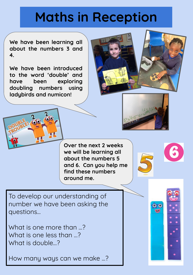## **Maths in Reception**

**We have been learning all about the numbers 3 and 4.**

**We have been introduced to the word 'double' and have been exploring doubling numbers using ladybirds and numicon!**





To develop our understanding of number we have been asking the questions...

What is one more than …? What is one less than …? What is double…?

How many ways can we make ...?